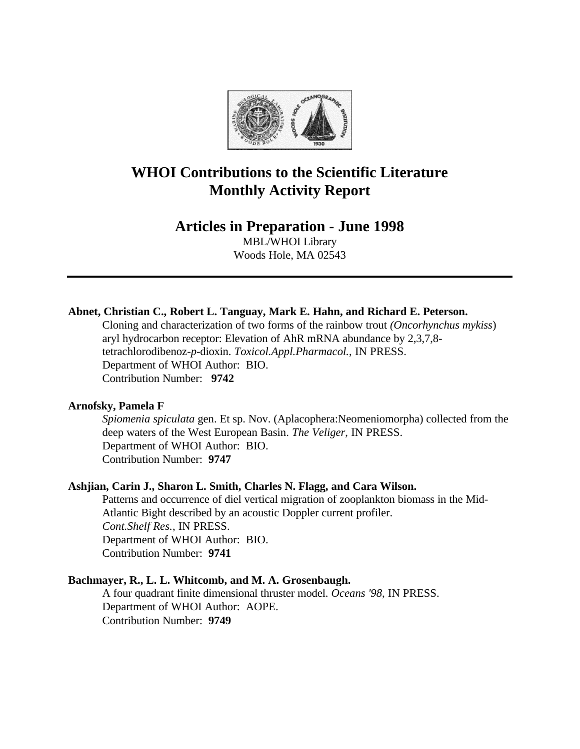

# **WHOI Contributions to the Scientific Literature Monthly Activity Report**

# **Articles in Preparation - June 1998**

MBL/WHOI Library Woods Hole, MA 02543

## **Abnet, Christian C., Robert L. Tanguay, Mark E. Hahn, and Richard E. Peterson.**

Cloning and characterization of two forms of the rainbow trout *(Oncorhynchus mykiss*) aryl hydrocarbon receptor: Elevation of AhR mRNA abundance by 2,3,7,8 tetrachlorodibenoz-*p*-dioxin. *Toxicol.Appl.Pharmacol.*, IN PRESS. Department of WHOI Author: BIO. Contribution Number: **9742**

### **Arnofsky, Pamela F**

*Spiomenia spiculata* gen. Et sp. Nov. (Aplacophera:Neomeniomorpha) collected from the deep waters of the West European Basin. *The Veliger*, IN PRESS. Department of WHOI Author: BIO. Contribution Number: **9747**

### **Ashjian, Carin J., Sharon L. Smith, Charles N. Flagg, and Cara Wilson.**

Patterns and occurrence of diel vertical migration of zooplankton biomass in the Mid-Atlantic Bight described by an acoustic Doppler current profiler. *Cont.Shelf Res.*, IN PRESS. Department of WHOI Author: BIO. Contribution Number: **9741**

### **Bachmayer, R., L. L. Whitcomb, and M. A. Grosenbaugh.**

A four quadrant finite dimensional thruster model. *Oceans '98*, IN PRESS. Department of WHOI Author: AOPE. Contribution Number: **9749**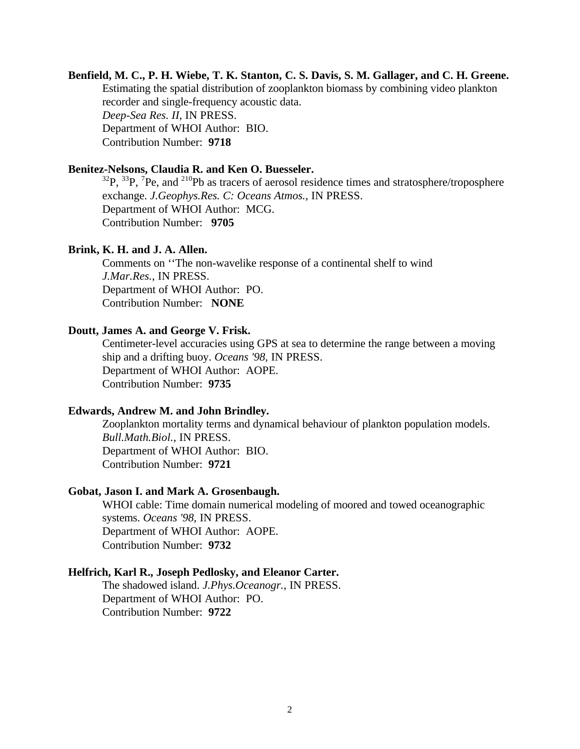### **Benfield, M. C., P. H. Wiebe, T. K. Stanton, C. S. Davis, S. M. Gallager, and C. H. Greene.** Estimating the spatial distribution of zooplankton biomass by combining video plankton recorder and single-frequency acoustic data. *Deep-Sea Res. II*, IN PRESS. Department of WHOI Author: BIO. Contribution Number: **9718**

### **Benitez-Nelsons, Claudia R. and Ken O. Buesseler.**

 ${}^{32}P$ ,  ${}^{33}P$ ,  ${}^{7}Pe$ , and  ${}^{210}Pb$  as tracers of aerosol residence times and stratosphere/troposphere exchange. *J.Geophys.Res. C: Oceans Atmos.*, IN PRESS. Department of WHOI Author: MCG. Contribution Number: **9705**

### **Brink, K. H. and J. A. Allen.**

Comments on ''The non-wavelike response of a continental shelf to wind *J.Mar.Res.*, IN PRESS. Department of WHOI Author: PO. Contribution Number: **NONE**

### **Doutt, James A. and George V. Frisk.**

Centimeter-level accuracies using GPS at sea to determine the range between a moving ship and a drifting buoy. *Oceans '98*, IN PRESS. Department of WHOI Author: AOPE. Contribution Number: **9735**

#### **Edwards, Andrew M. and John Brindley.**

Zooplankton mortality terms and dynamical behaviour of plankton population models. *Bull.Math.Biol.*, IN PRESS. Department of WHOI Author: BIO. Contribution Number: **9721**

#### **Gobat, Jason I. and Mark A. Grosenbaugh.**

WHOI cable: Time domain numerical modeling of moored and towed oceanographic systems. *Oceans '98*, IN PRESS. Department of WHOI Author: AOPE. Contribution Number: **9732**

### **Helfrich, Karl R., Joseph Pedlosky, and Eleanor Carter.**

The shadowed island. *J.Phys.Oceanogr.*, IN PRESS. Department of WHOI Author: PO. Contribution Number: **9722**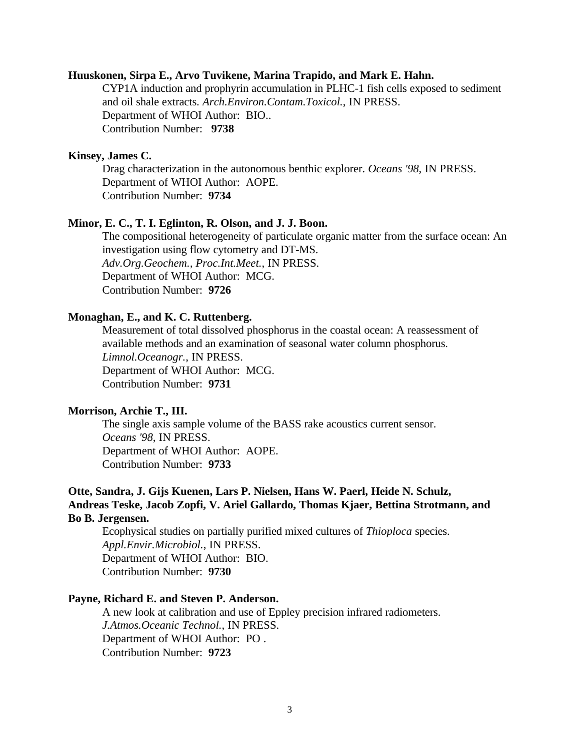### **Huuskonen, Sirpa E., Arvo Tuvikene, Marina Trapido, and Mark E. Hahn.**

CYP1A induction and prophyrin accumulation in PLHC-1 fish cells exposed to sediment and oil shale extracts. *Arch.Environ.Contam.Toxicol.*, IN PRESS. Department of WHOI Author: BIO.. Contribution Number: **9738**

#### **Kinsey, James C.**

Drag characterization in the autonomous benthic explorer. *Oceans '98*, IN PRESS. Department of WHOI Author: AOPE. Contribution Number: **9734**

### **Minor, E. C., T. I. Eglinton, R. Olson, and J. J. Boon.**

The compositional heterogeneity of particulate organic matter from the surface ocean: An investigation using flow cytometry and DT-MS. *Adv.Org.Geochem., Proc.Int.Meet.*, IN PRESS. Department of WHOI Author: MCG. Contribution Number: **9726**

### **Monaghan, E., and K. C. Ruttenberg.**

Measurement of total dissolved phosphorus in the coastal ocean: A reassessment of available methods and an examination of seasonal water column phosphorus. *Limnol.Oceanogr.*, IN PRESS. Department of WHOI Author: MCG. Contribution Number: **9731**

### **Morrison, Archie T., III.**

The single axis sample volume of the BASS rake acoustics current sensor. *Oceans '98*, IN PRESS. Department of WHOI Author: AOPE. Contribution Number: **9733**

### **Otte, Sandra, J. Gijs Kuenen, Lars P. Nielsen, Hans W. Paerl, Heide N. Schulz, Andreas Teske, Jacob Zopfi, V. Ariel Gallardo, Thomas Kjaer, Bettina Strotmann, and Bo B. Jergensen.**

Ecophysical studies on partially purified mixed cultures of *Thioploca* species. *Appl.Envir.Microbiol.*, IN PRESS. Department of WHOI Author: BIO. Contribution Number: **9730**

### **Payne, Richard E. and Steven P. Anderson.**

A new look at calibration and use of Eppley precision infrared radiometers. *J.Atmos.Oceanic Technol.*, IN PRESS. Department of WHOI Author: PO . Contribution Number: **9723**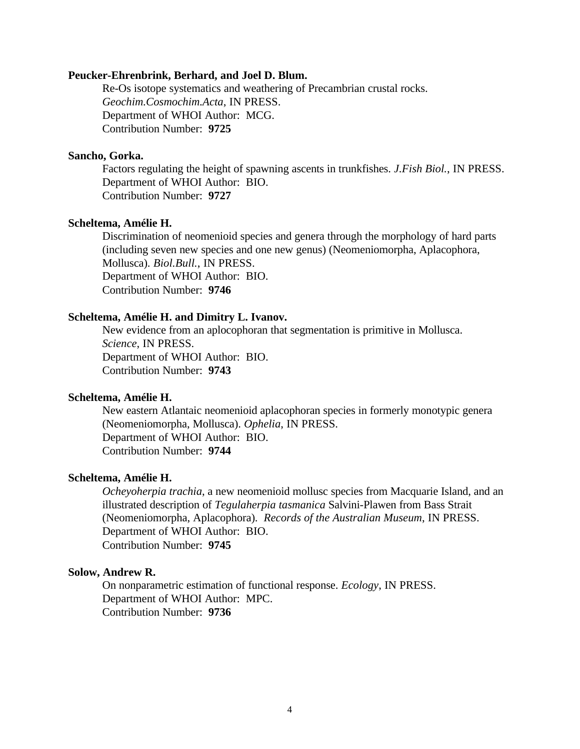#### **Peucker-Ehrenbrink, Berhard, and Joel D. Blum.**

Re-Os isotope systematics and weathering of Precambrian crustal rocks. *Geochim.Cosmochim.Acta*, IN PRESS. Department of WHOI Author: MCG. Contribution Number: **9725**

### **Sancho, Gorka.**

Factors regulating the height of spawning ascents in trunkfishes. *J.Fish Biol.*, IN PRESS. Department of WHOI Author: BIO. Contribution Number: **9727**

#### **Scheltema, Amélie H.**

Discrimination of neomenioid species and genera through the morphology of hard parts (including seven new species and one new genus) (Neomeniomorpha, Aplacophora, Mollusca). *Biol.Bull.*, IN PRESS. Department of WHOI Author: BIO. Contribution Number: **9746**

#### **Scheltema, Amélie H. and Dimitry L. Ivanov.**

New evidence from an aplocophoran that segmentation is primitive in Mollusca. *Science*, IN PRESS. Department of WHOI Author: BIO. Contribution Number: **9743**

### **Scheltema, Amélie H.**

New eastern Atlantaic neomenioid aplacophoran species in formerly monotypic genera (Neomeniomorpha, Mollusca). *Ophelia*, IN PRESS. Department of WHOI Author: BIO. Contribution Number: **9744**

### **Scheltema, Amélie H.**

*Ocheyoherpia trachia*, a new neomenioid mollusc species from Macquarie Island, and an illustrated description of *Tegulaherpia tasmanica* Salvini-Plawen from Bass Strait (Neomeniomorpha, Aplacophora). *Records of the Australian Museum*, IN PRESS. Department of WHOI Author: BIO. Contribution Number: **9745**

#### **Solow, Andrew R.**

On nonparametric estimation of functional response. *Ecology*, IN PRESS. Department of WHOI Author: MPC. Contribution Number: **9736**